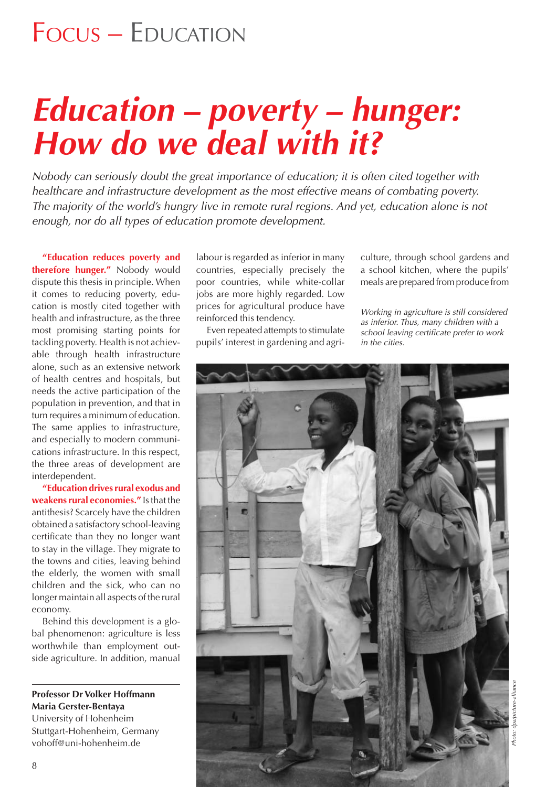# *Education – poverty – hunger: How do we deal with it?*

*Nobody can seriously doubt the great importance of education; it is often cited together with healthcare and infrastructure development as the most effective means of combating poverty. The majority of the world's hungry live in remote rural regions. And yet, education alone is not enough, nor do all types of education promote development.* 

**"Education reduces poverty and therefore hunger."** Nobody would dispute this thesis in principle. When it comes to reducing poverty, education is mostly cited together with health and infrastructure, as the three most promising starting points for tackling poverty. Health is not achievable through health infrastructure alone, such as an extensive network of health centres and hospitals, but needs the active participation of the population in prevention, and that in turn requires a minimum of education. The same applies to infrastructure, and especially to modern communications infrastructure. In this respect, the three areas of development are interdependent.

**"Education drives rural exodus and weakens rural economies."** Is that the antithesis? Scarcely have the children obtained a satisfactory school-leaving certificate than they no longer want to stay in the village. They migrate to the towns and cities, leaving behind the elderly, the women with small children and the sick, who can no longer maintain all aspects of the rural economy.

Behind this development is a global phenomenon: agriculture is less worthwhile than employment outside agriculture. In addition, manual

### **Professor Dr Volker Hoffmann Maria Gerster-Bentaya**

University of Hohenheim Stuttgart-Hohenheim, Germany vohoff@uni-hohenheim.de

labour is regarded as inferior in many countries, especially precisely the poor countries, while white-collar jobs are more highly regarded. Low prices for agricultural produce have reinforced this tendency.

Even repeated attempts to stimulate pupils' interest in gardening and agriculture, through school gardens and a school kitchen, where the pupils' meals are prepared from produce from

*Working in agriculture is still considered as inferior. Thus, many children with a school leaving certifi cate prefer to work in the cities.*

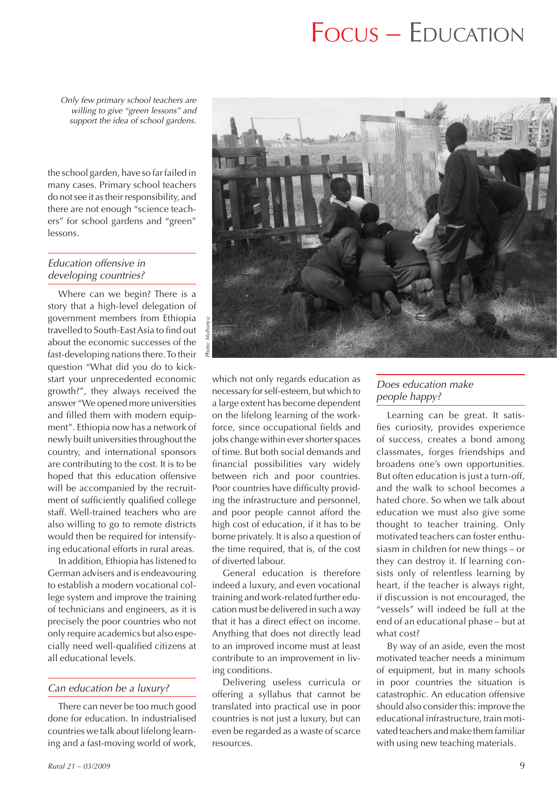*Only few primary school teachers are willing to give "green lessons" and support the idea of school gardens.*

the school garden, have so far failed in many cases. Primary school teachers do not see it as their responsibility, and there are not enough "science teachers" for school gardens and "green" lessons.

#### *Education offensive in developing countries?*

Where can we begin? There is a story that a high-level delegation of government members from Ethiopia travelled to South-East Asia to find out about the economic successes of the fast-developing nations there. To their question "What did you do to kickstart your unprecedented economic growth?", they always received the answer "We opened more universities and filled them with modern equipment". Ethiopia now has a network of newly built universities throughout the country, and international sponsors are contributing to the cost. It is to be hoped that this education offensive will be accompanied by the recruitment of sufficiently qualified college staff. Well-trained teachers who are also willing to go to remote districts would then be required for intensifying educational efforts in rural areas.

In addition, Ethiopia has listened to German advisers and is endeavouring to establish a modern vocational college system and improve the training of technicians and engineers, as it is precisely the poor countries who not only require academics but also especially need well-qualified citizens at all educational levels.

#### *Can education be a luxury?*

There can never be too much good done for education. In industrialised countries we talk about lifelong learning and a fast-moving world of work,



which not only regards education as necessary for self-esteem, but which to a large extent has become dependent on the lifelong learning of the workforce, since occupational fields and jobs change within ever shorter spaces of time. But both social demands and financial possibilities vary widely between rich and poor countries. Poor countries have difficulty providing the infrastructure and personnel, and poor people cannot afford the high cost of education, if it has to be borne privately. It is also a question of the time required, that is, of the cost of diverted labour.

General education is therefore indeed a luxury, and even vocational training and work-related further education must be delivered in such a way that it has a direct effect on income. Anything that does not directly lead to an improved income must at least contribute to an improvement in living conditions.

Delivering useless curricula or offering a syllabus that cannot be translated into practical use in poor countries is not just a luxury, but can even be regarded as a waste of scarce resources.

#### *Does education make people happy?*

Learning can be great. It satisfies curiosity, provides experience of success, creates a bond among classmates, forges friendships and broadens one's own opportunities. But often education is just a turn-off, and the walk to school becomes a hated chore. So when we talk about education we must also give some thought to teacher training. Only motivated teachers can foster enthusiasm in children for new things – or they can destroy it. If learning consists only of relentless learning by heart, if the teacher is always right, if discussion is not encouraged, the "vessels" will indeed be full at the end of an educational phase – but at what cost?

By way of an aside, even the most motivated teacher needs a minimum of equipment, but in many schools in poor countries the situation is catastrophic. An education offensive should also consider this: improve the educational infrastructure, train motivated teachers and make them familiar with using new teaching materials.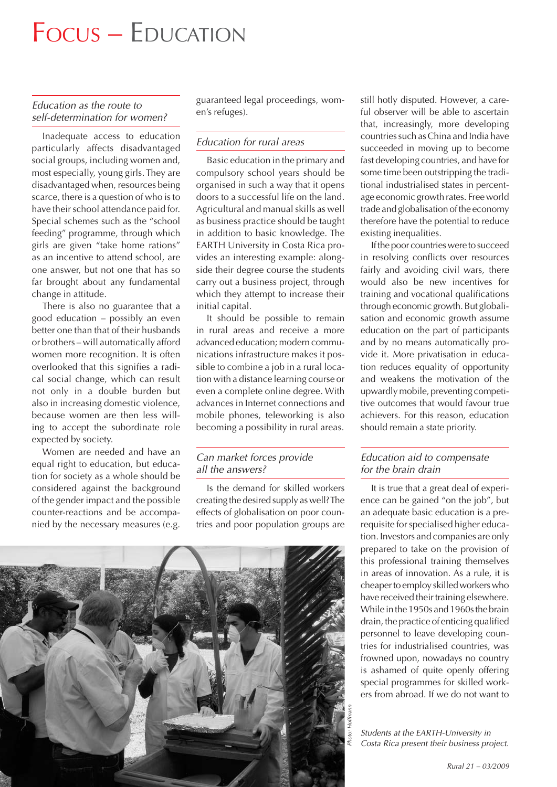#### *Education as the route to self-determination for women?*

Inadequate access to education particularly affects disadvantaged social groups, including women and, most especially, young girls. They are disadvantaged when, resources being scarce, there is a question of who is to have their school attendance paid for. Special schemes such as the "school feeding" programme, through which girls are given "take home rations" as an incentive to attend school, are one answer, but not one that has so far brought about any fundamental change in attitude.

There is also no guarantee that a good education – possibly an even better one than that of their husbands or brothers – will automatically afford women more recognition. It is often overlooked that this signifies a radical social change, which can result not only in a double burden but also in increasing domestic violence, because women are then less willing to accept the subordinate role expected by society.

Women are needed and have an equal right to education, but education for society as a whole should be considered against the background of the gender impact and the possible counter-reactions and be accompanied by the necessary measures (e.g.

guaranteed legal proceedings, women's refuges).

#### *Education for rural areas*

Basic education in the primary and compulsory school years should be organised in such a way that it opens doors to a successful life on the land. Agricultural and manual skills as well as business practice should be taught in addition to basic knowledge. The EARTH University in Costa Rica provides an interesting example: alongside their degree course the students carry out a business project, through which they attempt to increase their initial capital.

It should be possible to remain in rural areas and receive a more advanced education; modern communications infrastructure makes it possible to combine a job in a rural location with a distance learning course or even a complete online degree. With advances in Internet connections and mobile phones, teleworking is also becoming a possibility in rural areas.

#### *Can market forces provide all the answers?*

Is the demand for skilled workers creating the desired supply as well? The effects of globalisation on poor countries and poor population groups are



still hotly disputed. However, a careful observer will be able to ascertain that, increasingly, more developing countries such as China and India have succeeded in moving up to become fast developing countries, and have for some time been outstripping the traditional industrialised states in percentage economic growth rates. Free world trade and globalisation of the economy therefore have the potential to reduce existing inequalities.

If the poor countries were to succeed in resolving conflicts over resources fairly and avoiding civil wars, there would also be new incentives for training and vocational qualifications through economic growth. But globalisation and economic growth assume education on the part of participants and by no means automatically provide it. More privatisation in education reduces equality of opportunity and weakens the motivation of the upwardly mobile, preventing competitive outcomes that would favour true achievers. For this reason, education should remain a state priority.

#### *Education aid to compensate for the brain drain*

It is true that a great deal of experience can be gained "on the job", but an adequate basic education is a prerequisite for specialised higher education. Investors and companies are only prepared to take on the provision of this professional training themselves in areas of innovation. As a rule, it is cheaper to employ skilled workers who have received their training elsewhere. While in the 1950s and 1960s the brain drain, the practice of enticing qualified personnel to leave developing countries for industrialised countries, was frowned upon, nowadays no country is ashamed of quite openly offering special programmes for skilled workers from abroad. If we do not want to

*Students at the EARTH-University in Costa Rica present their business project.*